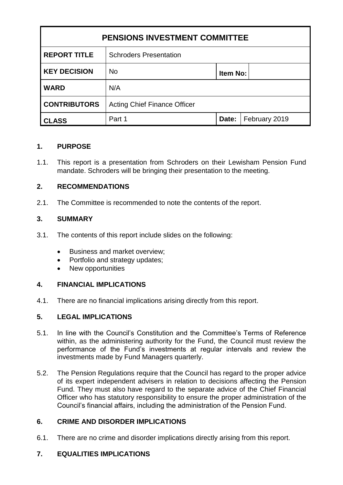| <b>PENSIONS INVESTMENT COMMITTEE</b> |                                     |          |               |
|--------------------------------------|-------------------------------------|----------|---------------|
| <b>REPORT TITLE</b>                  | <b>Schroders Presentation</b>       |          |               |
| <b>KEY DECISION</b>                  | <b>No</b>                           | Item No: |               |
| <b>WARD</b>                          | N/A                                 |          |               |
| <b>CONTRIBUTORS</b>                  | <b>Acting Chief Finance Officer</b> |          |               |
| <b>CLASS</b>                         | Part 1                              | Date:    | February 2019 |

## **1. PURPOSE**

1.1. This report is a presentation from Schroders on their Lewisham Pension Fund mandate. Schroders will be bringing their presentation to the meeting.

## **2. RECOMMENDATIONS**

2.1. The Committee is recommended to note the contents of the report.

## **3. SUMMARY**

- 3.1. The contents of this report include slides on the following:
	- Business and market overview;
	- Portfolio and strategy updates;
	- New opportunities

## **4. FINANCIAL IMPLICATIONS**

4.1. There are no financial implications arising directly from this report.

## **5. LEGAL IMPLICATIONS**

- 5.1. In line with the Council's Constitution and the Committee's Terms of Reference within, as the administering authority for the Fund, the Council must review the performance of the Fund's investments at regular intervals and review the investments made by Fund Managers quarterly.
- 5.2. The Pension Regulations require that the Council has regard to the proper advice of its expert independent advisers in relation to decisions affecting the Pension Fund. They must also have regard to the separate advice of the Chief Financial Officer who has statutory responsibility to ensure the proper administration of the Council's financial affairs, including the administration of the Pension Fund.

# **6. CRIME AND DISORDER IMPLICATIONS**

6.1. There are no crime and disorder implications directly arising from this report.

# **7. EQUALITIES IMPLICATIONS**